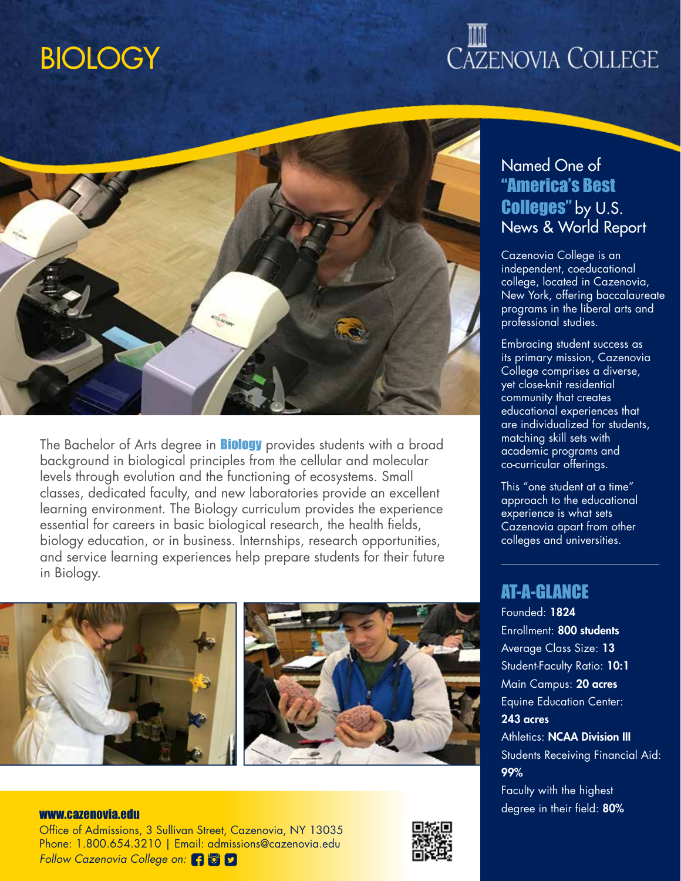### **BIOLOGY**

# **CAZENOVIA COLLEGE**



The Bachelor of Arts degree in **Biology** provides students with a broad background in biological principles from the cellular and molecular levels through evolution and the functioning of ecosystems. Small classes, dedicated faculty, and new laboratories provide an excellent learning environment. The Biology curriculum provides the experience essential for careers in basic biological research, the health fields, biology education, or in business. Internships, research opportunities, and service learning experiences help prepare students for their future in Biology.



Office of Admissions, 3 Sullivan Street, Cazenovia, NY 13035 Phone: 1.800.654.3210 | Email: admissions@cazenovia.edu *Follow Cazenovia College on:*



### Named One of "America's Best Colleges" by U.S. News & World Report

Cazenovia College is an independent, coeducational college, located in Cazenovia, New York, offering baccalaureate programs in the liberal arts and professional studies.

Embracing student success as its primary mission, Cazenovia College comprises a diverse, yet close-knit residential community that creates educational experiences that are individualized for students, matching skill sets with academic programs and co-curricular offerings.

This "one student at a time" approach to the educational experience is what sets Cazenovia apart from other colleges and universities.

#### AT-A-GLANCE

Founded: 1824 Enrollment: 800 students Average Class Size: 13 Student-Faculty Ratio: 10:1 Main Campus: 20 acres Equine Education Center: 243 acres **Athletics: NCAA Division III** Students Receiving Financial Aid: 99% Faculty with the highest www.cazenovia.edu www.cazenovia.edu www.cazenovia.edu www.cazenovia.edu www.cazenovia.edu www.cazenovia.edu ww